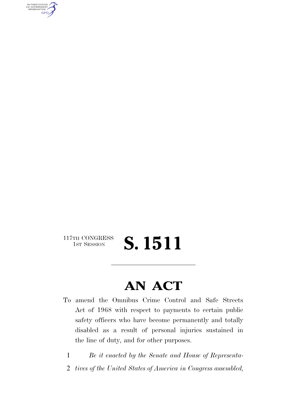AUTHENTICATED<br>U.S. GOVERNMENT<br>INFORMATION **GPO** 

### 117TH CONGRESS<br>1st Session S. 1511

## **AN ACT**

- To amend the Omnibus Crime Control and Safe Streets Act of 1968 with respect to payments to certain public safety officers who have become permanently and totally disabled as a result of personal injuries sustained in the line of duty, and for other purposes.
	- 1 *Be it enacted by the Senate and House of Representa-*
	- 2 *tives of the United States of America in Congress assembled,*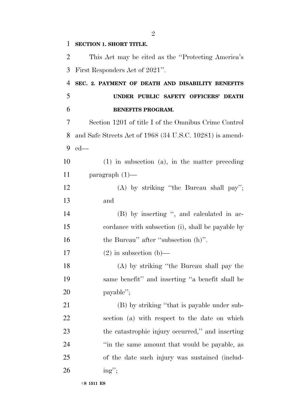| $\mathbf{1}$   | <b>SECTION 1. SHORT TITLE.</b>                           |
|----------------|----------------------------------------------------------|
| 2              | This Act may be cited as the "Protecting America's       |
| 3              | First Responders Act of 2021".                           |
| $\overline{4}$ | SEC. 2. PAYMENT OF DEATH AND DISABILITY BENEFITS         |
| 5              | UNDER PUBLIC SAFETY OFFICERS' DEATH                      |
| 6              | <b>BENEFITS PROGRAM.</b>                                 |
| 7              | Section 1201 of title I of the Omnibus Crime Control     |
| 8              | and Safe Streets Act of 1968 (34 U.S.C. 10281) is amend- |
| 9              | $ed$ —                                                   |
| 10             | $(1)$ in subsection $(a)$ , in the matter preceding      |
| 11             | paragraph $(1)$ —                                        |
| 12             | $(A)$ by striking "the Bureau shall pay";                |
| 13             | and                                                      |
| 14             | (B) by inserting ", and calculated in ac-                |
| 15             | cordance with subsection (i), shall be payable by        |
| 16             | the Bureau" after "subsection (h)".                      |
| 17             | $(2)$ in subsection $(b)$ —                              |
| 18             | (A) by striking "the Bureau shall pay the                |
| 19             | same benefit" and inserting "a benefit shall be          |
| 20             | payable";                                                |
| 21             | (B) by striking "that is payable under sub-              |
| 22             | section (a) with respect to the date on which            |
| 23             | the catastrophic injury occurred," and inserting         |
| 24             | "in the same amount that would be payable, as            |
| 25             | of the date such injury was sustained (includ-           |
| 26             | $ing''$ ;                                                |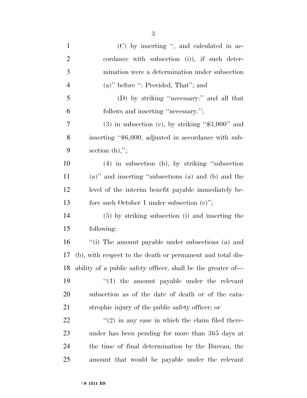| $\mathbf{1}$   | (C) by inserting ", and calculated in ac-                    |
|----------------|--------------------------------------------------------------|
| $\overline{2}$ | cordance with subsection (i)), if such deter-                |
| 3              | mination were a determination under subsection               |
| $\overline{4}$ | $(a)$ " before ": Provided, That"; and                       |
| 5              | (D) by striking "necessary:" and all that                    |
| 6              | follows and inserting "necessary.";                          |
| 7              | $(3)$ in subsection (c), by striking "\$3,000" and           |
| 8              | inserting "\$6,000, adjusted in accordance with sub-         |
| 9              | section $(h)$ ,";                                            |
| 10             | $(4)$ in subsection (h), by striking "subsection             |
| 11             | (a)" and inserting "subsections (a) and (b) and the          |
| 12             | level of the interim benefit payable immediately be-         |
| 13             | fore such October 1 under subsection $(c)$ ";                |
| 14             | (5) by striking subsection (i) and inserting the             |
| 15             | following:                                                   |
| 16             | "(i) The amount payable under subsections (a) and            |
| 17             | (b), with respect to the death or permanent and total dis-   |
| 18             | ability of a public safety officer, shall be the greater of— |
| 19             | $\lq(1)$ the amount payable under the relevant               |
| 20             | subsection as of the date of death or of the cata-           |
| 21             | strophic injury of the public safety officer; or             |
| 22             | $\cdot\cdot(2)$ in any case in which the claim filed there-  |
| 23             | under has been pending for more than 365 days at             |
| 24             | the time of final determination by the Bureau, the           |
| 25             | amount that would be payable under the relevant              |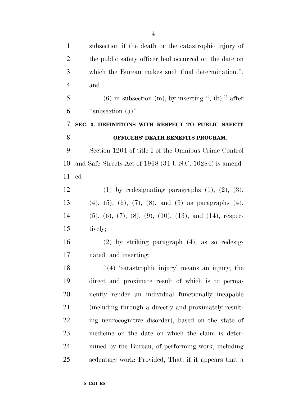| $\mathbf{1}$   | subsection if the death or the catastrophic injury of                     |
|----------------|---------------------------------------------------------------------------|
| $\overline{2}$ | the public safety officer had occurred on the date on                     |
| 3              | which the Bureau makes such final determination.";                        |
| $\overline{4}$ | and                                                                       |
| 5              | $(6)$ in subsection (m), by inserting ", (b)," after                      |
| 6              | "subsection $(a)$ ".                                                      |
| 7              | SEC. 3. DEFINITIONS WITH RESPECT TO PUBLIC SAFETY                         |
| 8              | OFFICERS' DEATH BENEFITS PROGRAM.                                         |
| 9              | Section 1204 of title I of the Omnibus Crime Control                      |
| 10             | and Safe Streets Act of 1968 (34 U.S.C. 10284) is amend-                  |
| 11             | $ed$ —                                                                    |
| 12             | $(1)$ by redesignating paragraphs $(1)$ , $(2)$ , $(3)$ ,                 |
| 13             | $(4)$ , $(5)$ , $(6)$ , $(7)$ , $(8)$ , and $(9)$ as paragraphs $(4)$ ,   |
| 14             | $(5), (6), (7), (8), (9), (10), (13), \text{ and } (14), \text{ respec-}$ |
| 15             | tively;                                                                   |
| 16             | $(2)$ by striking paragraph $(4)$ , as so redesig-                        |
| 17             | nated, and inserting:                                                     |
| 18             | "(4) 'catastrophic injury' means an injury, the                           |
| 19             | direct and proximate result of which is to perma-                         |
| 20             | nently render an individual functionally incapable                        |
| 21             | (including through a directly and proximately result-                     |
| 22             | ing neurocognitive disorder), based on the state of                       |
| 23             | medicine on the date on which the claim is deter-                         |
| 24             | mined by the Bureau, of performing work, including                        |
| 25             | sedentary work: Provided, That, if it appears that a                      |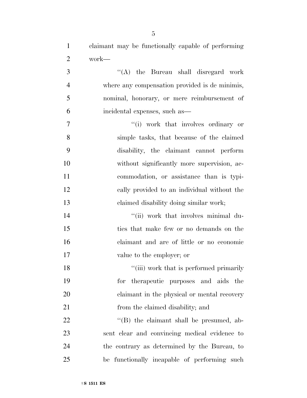claimant may be functionally capable of performing work—

 ''(A) the Bureau shall disregard work where any compensation provided is de minimis, nominal, honorary, or mere reimbursement of incidental expenses, such as—

 $''(i)$  work that involves ordinary or simple tasks, that because of the claimed disability, the claimant cannot perform without significantly more supervision, ac- commodation, or assistance than is typi- cally provided to an individual without the claimed disability doing similar work;

 $\frac{1}{2}$  ''(ii) work that involves minimal du- ties that make few or no demands on the claimant and are of little or no economic value to the employer; or

18 ''(iii) work that is performed primarily for therapeutic purposes and aids the claimant in the physical or mental recovery 21 from the claimed disability; and

22 ''(B) the claimant shall be presumed, ab- sent clear and convincing medical evidence to the contrary as determined by the Bureau, to be functionally incapable of performing such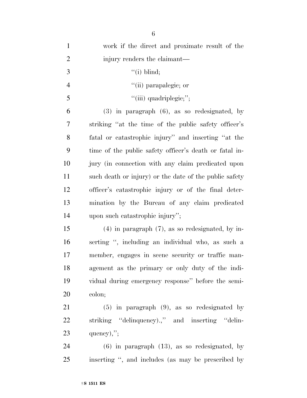| $\mathbf{1}$   | work if the direct and proximate result of the         |
|----------------|--------------------------------------------------------|
| $\overline{c}$ | injury renders the claimant—                           |
| 3              | $``(i)$ blind;                                         |
| $\overline{4}$ | "(ii) parapalegic; or                                  |
| 5              | "(iii) quadriplegic;";                                 |
| 6              | $(3)$ in paragraph $(6)$ , as so redesignated, by      |
| 7              | striking "at the time of the public safety officer's   |
| 8              | fatal or catastrophic injury" and inserting "at the    |
| 9              | time of the public safety officer's death or fatal in- |
| 10             | jury (in connection with any claim predicated upon     |
| 11             | such death or injury) or the date of the public safety |
| 12             | officer's catastrophic injury or of the final deter-   |
| 13             | mination by the Bureau of any claim predicated         |
| 14             | upon such catastrophic injury";                        |
| 15             | $(4)$ in paragraph $(7)$ , as so redesignated, by in-  |
| 16             | serting ", including an individual who, as such a      |
| 17             | member, engages in scene security or traffic man-      |
| 18             | agement as the primary or only duty of the indi-       |
| 19             | vidual during emergency response" before the semi-     |
| 20             | colon;                                                 |
| 21             | $(5)$ in paragraph $(9)$ , as so redesignated by       |
| 22             | striking "delinquency).," and inserting "delin-        |
| 23             | quency),";                                             |
| 24             | $(6)$ in paragraph $(13)$ , as so redesignated, by     |
| 25             | inserting ", and includes (as may be prescribed by     |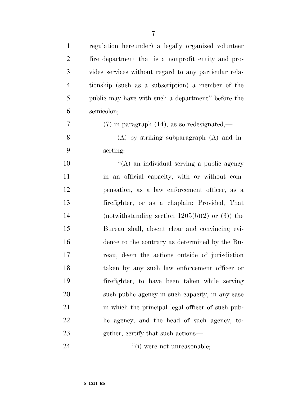| $\mathbf{1}$   | regulation hereunder) a legally organized volunteer   |
|----------------|-------------------------------------------------------|
| $\overline{2}$ | fire department that is a nonprofit entity and pro-   |
| 3              | vides services without regard to any particular rela- |
| $\overline{4}$ | tionship (such as a subscription) a member of the     |
| 5              | public may have with such a department" before the    |
| 6              | semicolon;                                            |
| 7              | $(7)$ in paragraph $(14)$ , as so redesignated,—      |
| 8              | $(A)$ by striking subparagraph $(A)$ and in-          |
| 9              | serting:                                              |
| 10             | "(A) an individual serving a public agency            |
| 11             | in an official capacity, with or without com-         |
| 12             | pensation, as a law enforcement officer, as a         |
| 13             | firefighter, or as a chaplain: Provided, That         |
| 14             | (notwithstanding section $1205(b)(2)$ or (3)) the     |
| 15             | Bureau shall, absent clear and convincing evi-        |
| 16             | dence to the contrary as determined by the Bu-        |
| 17             | reau, deem the actions outside of jurisdiction        |
| 18             | taken by any such law enforcement officer or          |
| 19             | firefighter, to have been taken while serving         |
| 20             | such public agency in such capacity, in any case      |
| 21             | in which the principal legal officer of such pub-     |
| 22             | lic agency, and the head of such agency, to-          |
| 23             | gether, certify that such actions—                    |
|                |                                                       |

24 ''(i) were not unreasonable;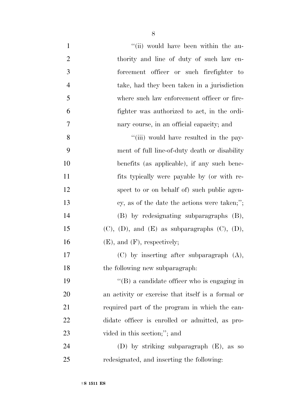| $\mathbf{1}$   | "(ii) would have been within the au-                       |
|----------------|------------------------------------------------------------|
| $\overline{2}$ | thority and line of duty of such law en-                   |
| 3              | forcement officer or such firefighter to                   |
| $\overline{4}$ | take, had they been taken in a jurisdiction                |
| 5              | where such law enforcement officer or fire-                |
| 6              | fighter was authorized to act, in the ordi-                |
| 7              | nary course, in an official capacity; and                  |
| 8              | "(iii) would have resulted in the pay-                     |
| 9              | ment of full line-of-duty death or disability              |
| 10             | benefits (as applicable), if any such bene-                |
| 11             | fits typically were payable by (or with re-                |
| 12             | spect to or on behalf of) such public agen-                |
| 13             | cy, as of the date the actions were taken;";               |
| 14             | (B) by redesignating subparagraphs (B),                    |
| 15             | $(C)$ , $(D)$ , and $(E)$ as subparagraphs $(C)$ , $(D)$ , |
| 16             | $(E)$ , and $(F)$ , respectively;                          |
| 17             | $(C)$ by inserting after subparagraph $(A)$ ,              |
| 18             | the following new subparagraph:                            |
| 19             | $\lq\lq$ (B) a candidate officer who is engaging in        |
| 20             | an activity or exercise that itself is a formal or         |
| 21             | required part of the program in which the can-             |
| 22             | didate officer is enrolled or admitted, as pro-            |
| 23             | vided in this section;"; and                               |
| 24             | (D) by striking subparagraph $(E)$ , as so                 |
| 25             | redesignated, and inserting the following:                 |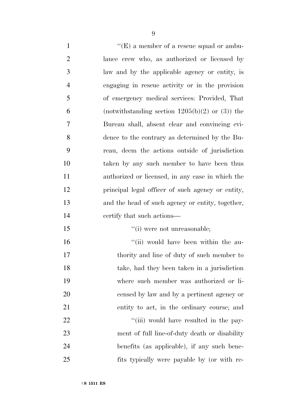$"({\rm E})$  a member of a rescue squad or ambu- lance crew who, as authorized or licensed by law and by the applicable agency or entity, is engaging in rescue activity or in the provision of emergency medical services: Provided, That 6 (notwithstanding section  $1205(b)(2)$  or  $(3)$ ) the Bureau shall, absent clear and convincing evi- dence to the contrary as determined by the Bu- reau, deem the actions outside of jurisdiction taken by any such member to have been thus authorized or licensed, in any case in which the principal legal officer of such agency or entity, and the head of such agency or entity, together, certify that such actions—  $\frac{1}{10}$  were not unreasonable; 16 ''(ii) would have been within the au- thority and line of duty of such member to take, had they been taken in a jurisdiction where such member was authorized or li- censed by law and by a pertinent agency or entity to act, in the ordinary course; and  $\frac{1}{1}$   $\cdots$   $\cdots$   $\cdots$   $\cdots$   $\cdots$   $\cdots$   $\cdots$   $\cdots$   $\cdots$   $\cdots$  ment of full line-of-duty death or disability benefits (as applicable), if any such bene-fits typically were payable by (or with re-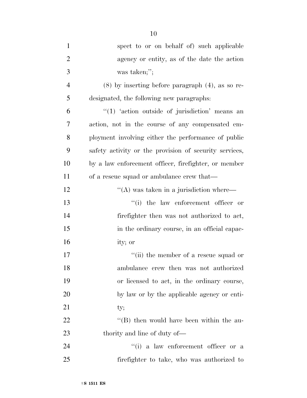| $\mathbf{1}$   | spect to or on behalf of) such applicable              |
|----------------|--------------------------------------------------------|
| $\overline{2}$ | agency or entity, as of the date the action            |
| 3              | was taken;";                                           |
| $\overline{4}$ | $(8)$ by inserting before paragraph $(4)$ , as so re-  |
| 5              | designated, the following new paragraphs:              |
| 6              | $"(1)$ 'action outside of jurisdiction' means an       |
| 7              | action, not in the course of any compensated em-       |
| 8              | ployment involving either the performance of public    |
| 9              | safety activity or the provision of security services, |
| 10             | by a law enforcement officer, firefighter, or member   |
| 11             | of a rescue squad or ambulance crew that—              |
| 12             | $\lq\lq (A)$ was taken in a jurisdiction where—        |
| 13             | $``(i)$ the law enforcement officer or                 |
| 14             | firefighter then was not authorized to act,            |
| 15             | in the ordinary course, in an official capac-          |
| 16             | ity; or                                                |
| 17             | "(ii) the member of a rescue squad or                  |
| 18             | ambulance crew then was not authorized                 |
| 19             | or licensed to act, in the ordinary course,            |
| 20             | by law or by the applicable agency or enti-            |
| 21             | ty;                                                    |
| 22             | $\lq\lq$ (B) then would have been within the au-       |
| 23             | thority and line of duty of—                           |
| 24             | $``(i)$ a law enforcement officer or a                 |
| 25             | firefighter to take, who was authorized to             |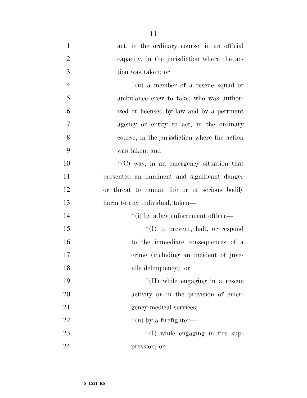| $\mathbf{1}$   | act, in the ordinary course, in an official      |
|----------------|--------------------------------------------------|
| $\overline{2}$ | capacity, in the jurisdiction where the ac-      |
| 3              | tion was taken; or                               |
| $\overline{4}$ | "(ii) a member of a rescue squad or              |
| 5              | ambulance crew to take, who was author-          |
| 6              | ized or licensed by law and by a pertinent       |
| 7              | agency or entity to act, in the ordinary         |
| 8              | course, in the jurisdiction where the action     |
| 9              | was taken; and                                   |
| 10             | $\lq\lq$ (C) was, in an emergency situation that |
| 11             | presented an imminent and significant danger     |
| 12             | or threat to human life or of serious bodily     |
| 13             | harm to any individual, taken—                   |
| 14             | "(i) by a law enforcement officer—               |
| 15             | $\lq\lq$ to prevent, halt, or respond            |
| 16             | to the immediate consequences of a               |
| 17             | crime (including an incident of juve-            |
| 18             | nile delinquency); or                            |
| 19             | "(II) while engaging in a rescue                 |
| 20             | activity or in the provision of emer-            |
| 21             | gency medical services;                          |
| 22             | "(ii) by a firefighter—                          |
| 23             | "(I) while engaging in fire sup-                 |
|                |                                                  |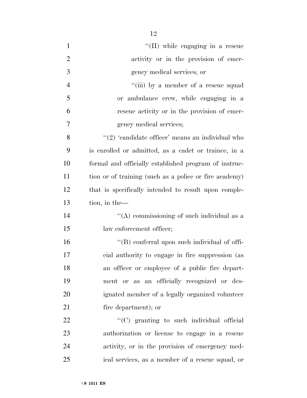| $\mathbf{1}$   | "(II) while engaging in a rescue                        |
|----------------|---------------------------------------------------------|
| $\overline{2}$ | activity or in the provision of emer-                   |
| 3              | gency medical services; or                              |
| $\overline{4}$ | "(iii) by a member of a rescue squad                    |
| 5              | or ambulance crew, while engaging in a                  |
| 6              | rescue activity or in the provision of emer-            |
| 7              | gency medical services;                                 |
| 8              | $\lq\lq(2)$ 'candidate officer' means an individual who |
| 9              | is enrolled or admitted, as a cadet or trainee, in a    |
| 10             | formal and officially established program of instruc-   |
| 11             | tion or of training (such as a police or fire academy)  |
| 12             | that is specifically intended to result upon comple-    |
| 13             | tion, in the-                                           |
| 14             | "(A) commissioning of such individual as a              |
| 15             | law enforcement officer;                                |
| 16             | "(B) conferral upon such individual of offi-            |
| 17             | cial authority to engage in fire suppression (as        |
| 18             | an officer or employee of a public fire depart-         |
| 19             | ment or as an officially recognized or des-             |
| 20             | ignated member of a legally organized volunteer         |
| 21             | fire department); or                                    |
| 22             | "(C) granting to such individual official               |
| 23             | authorization or license to engage in a rescue          |
| 24             | activity, or in the provision of emergency med-         |
| 25             | ical services, as a member of a rescue squad, or        |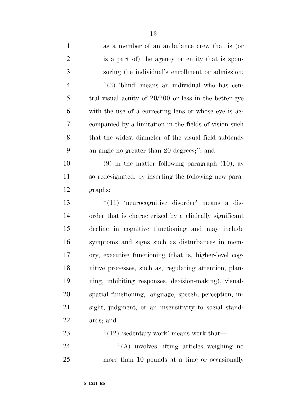| $\mathbf{1}$   | as a member of an ambulance crew that is (or             |
|----------------|----------------------------------------------------------|
| $\overline{2}$ | is a part of) the agency or entity that is spon-         |
| 3              | soring the individual's enrollment or admission;         |
| $\overline{4}$ | " $(3)$ 'blind' means an individual who has cen-         |
| 5              | tral visual acuity of $20/200$ or less in the better eye |
| 6              | with the use of a correcting lens or whose eye is ac-    |
| 7              | companied by a limitation in the fields of vision such   |
| 8              | that the widest diameter of the visual field subtends    |
| 9              | an angle no greater than 20 degrees;"; and               |
| 10             | $(9)$ in the matter following paragraph $(10)$ , as      |
| 11             | so redesignated, by inserting the following new para-    |
| 12             | graphs:                                                  |
| 13             | $\lq(11)$ 'neurocognitive disorder' means a dis-         |
|                |                                                          |
| 14             | order that is characterized by a clinically significant  |
| 15             | decline in cognitive functioning and may include         |
| 16             | symptoms and signs such as disturbances in mem-          |
| $17\,$         | ory, executive functioning (that is, higher-level cog-   |
| 18             | nitive processes, such as, regulating attention, plan-   |
| 19             | ning, inhibiting responses, decision-making), visual-    |
| 20             | spatial functioning, language, speech, perception, in-   |
| 21             | sight, judgment, or an insensitivity to social stand-    |
| 22             | ards; and                                                |
| 23             | " $(12)$ 'sedentary work' means work that—               |

more than 10 pounds at a time or occasionally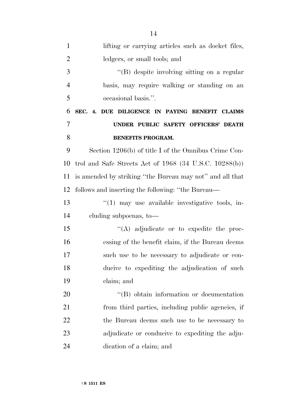| $\mathbf{1}$   | lifting or carrying articles such as docket files,          |
|----------------|-------------------------------------------------------------|
| $\overline{2}$ | ledgers, or small tools; and                                |
| 3              | "(B) despite involving sitting on a regular                 |
| $\overline{4}$ | basis, may require walking or standing on an                |
| 5              | occasional basis.".                                         |
| 6              | SEC. 4. DUE DILIGENCE IN PAYING BENEFIT CLAIMS              |
| 7              | UNDER PUBLIC SAFETY OFFICERS' DEATH                         |
| 8              | <b>BENEFITS PROGRAM.</b>                                    |
| 9              | Section 1206(b) of title I of the Omnibus Crime Con-        |
| 10             | trol and Safe Streets Act of $1968$ (34 U.S.C. $10288(b)$ ) |
| 11             | is amended by striking "the Bureau may not" and all that    |
| 12             | follows and inserting the following: "the Bureau—           |
| 13             | $\lq(1)$ may use available investigative tools, in-         |
| 14             | cluding subpoenas, to-                                      |
| 15             | $\lq\lq$ adjudicate or to expedite the proc-                |
| 16             | essing of the benefit claim, if the Bureau deems            |
| 17             | such use to be necessary to adjudicate or con-              |
| 18             | ducive to expediting the adjudication of such               |
| 19             | claim; and                                                  |
| 20             | $\lq\lq (B)$ obtain information or documentation            |
| 21             | from third parties, including public agencies, if           |
| 22             | the Bureau deems such use to be necessary to                |
| 23             | adjudicate or conducive to expediting the adju-             |
| 24             | dication of a claim; and                                    |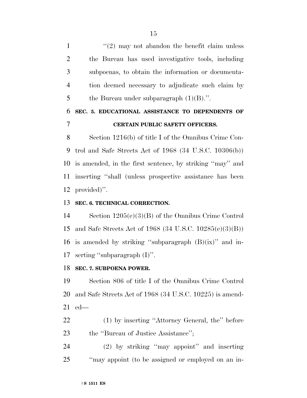$\frac{1}{2}$  may not abandon the benefit claim unless the Bureau has used investigative tools, including subpoenas, to obtain the information or documenta- tion deemed necessary to adjudicate such claim by 5 the Bureau under subparagraph  $(1)(B)$ .".

### **SEC. 5. EDUCATIONAL ASSISTANCE TO DEPENDENTS OF CERTAIN PUBLIC SAFETY OFFICERS.**

 Section 1216(b) of title I of the Omnibus Crime Con- trol and Safe Streets Act of 1968 (34 U.S.C. 10306(b)) is amended, in the first sentence, by striking ''may'' and inserting ''shall (unless prospective assistance has been provided)''.

#### **SEC. 6. TECHNICAL CORRECTION.**

 Section 1205(e)(3)(B) of the Omnibus Crime Control and Safe Streets Act of 1968 (34 U.S.C. 10285(e)(3)(B)) 16 is amended by striking "subparagraph  $(B)(ix)$ " and in-serting ''subparagraph (I)''.

#### **SEC. 7. SUBPOENA POWER.**

 Section 806 of title I of the Omnibus Crime Control and Safe Streets Act of 1968 (34 U.S.C. 10225) is amend-ed—

 (1) by inserting ''Attorney General, the'' before 23 the "Bureau of Justice Assistance";

 (2) by striking ''may appoint'' and inserting ''may appoint (to be assigned or employed on an in-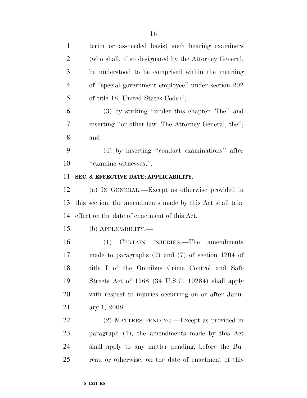| $\mathbf{1}$   | terim or as-needed basis) such hearing examiners         |
|----------------|----------------------------------------------------------|
| $\overline{2}$ | (who shall, if so designated by the Attorney General,    |
| 3              | be understood to be comprised within the meaning         |
| $\overline{4}$ | of "special government employee" under section 202       |
| 5              | of title 18, United States Code)";                       |
| 6              | (3) by striking "under this chapter. The" and            |
| 7              | inserting "or other law. The Attorney General, the";     |
| 8              | and                                                      |
| 9              | (4) by inserting "conduct examinations" after            |
| 10             | "examine witnesses,".                                    |
| 11             | SEC. 8. EFFECTIVE DATE; APPLICABILITY.                   |
| 12             | (a) IN GENERAL.—Except as otherwise provided in          |
| 13             | this section, the amendments made by this Act shall take |
| 14             | effect on the date of enactment of this Act.             |
| 15             | (b) <b>АРР</b> ЫСАВШІТҮ.—                                |
| 16             | CERTAIN INJURIES.—The amendments<br>(1)                  |
| 17             | made to paragraphs $(2)$ and $(7)$ of section 1204 of    |
| 18             | title I of the Omnibus Crime Control and Safe            |
| 19             | Streets Act of 1968 (34 U.S.C. 10284) shall apply        |
| 20             | with respect to injuries occurring on or after Janu-     |
| 21             | ary 1, 2008.                                             |
| 22             | (2) MATTERS PENDING.—Except as provided in               |
| 23             | paragraph (1), the amendments made by this Act           |
| 24             | shall apply to any matter pending, before the Bu-        |
| 25             | reau or otherwise, on the date of enactment of this      |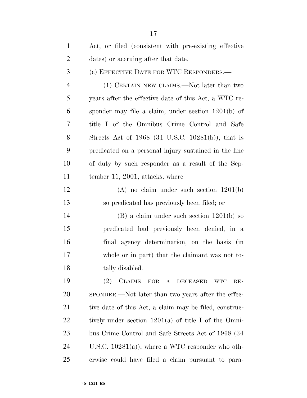| $\mathbf{1}$   | Act, or filed (consistent with pre-existing effective         |
|----------------|---------------------------------------------------------------|
| $\overline{2}$ | dates) or accruing after that date.                           |
| 3              | (c) EFFECTIVE DATE FOR WTC RESPONDERS.—                       |
| $\overline{4}$ | (1) CERTAIN NEW CLAIMS.—Not later than two                    |
| 5              | years after the effective date of this Act, a WTC re-         |
| 6              | sponder may file a claim, under section 1201(b) of            |
| 7              | title I of the Omnibus Crime Control and Safe                 |
| 8              | Streets Act of $1968$ (34 U.S.C. 10281(b)), that is           |
| 9              | predicated on a personal injury sustained in the line         |
| 10             | of duty by such responder as a result of the Sep-             |
| 11             | tember 11, 2001, attacks, where—                              |
| 12             | $(A)$ no claim under such section $1201(b)$                   |
| 13             | so predicated has previously been filed; or                   |
| 14             | $(B)$ a claim under such section $1201(b)$ so                 |
| 15             | predicated had previously been denied, in a                   |
| 16             | final agency determination, on the basis (in                  |
| 17             | whole or in part) that the claimant was not to-               |
| 18             | tally disabled.                                               |
| 19             | <b>CLAIMS</b><br>(2)<br>FOR A DECEASED<br><b>WTC</b><br>$RE-$ |
| 20             | SPONDER.—Not later than two years after the effec-            |
| 21             | tive date of this Act, a claim may be filed, construc-        |
| 22             | tively under section $1201(a)$ of title I of the Omni-        |
| 23             | bus Crime Control and Safe Streets Act of 1968 (34)           |
| 24             | U.S.C. $10281(a)$ , where a WTC responder who oth-            |
| 25             | erwise could have filed a claim pursuant to para-             |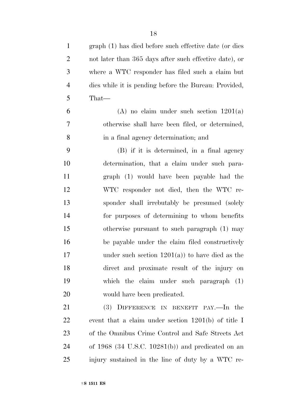| $\mathbf{1}$   | graph (1) has died before such effective date (or dies |
|----------------|--------------------------------------------------------|
| $\overline{2}$ | not later than 365 days after such effective date), or |
| 3              | where a WTC responder has filed such a claim but       |
| $\overline{4}$ | dies while it is pending before the Bureau: Provided,  |
| 5              | That-                                                  |
| 6              | (A) no claim under such section $1201(a)$              |
| 7              | otherwise shall have been filed, or determined,        |
| 8              | in a final agency determination; and                   |
| 9              | (B) if it is determined, in a final agency             |
| 10             | determination, that a claim under such para-           |
| 11             | graph (1) would have been payable had the              |
| 12             | WTC responder not died, then the WTC re-               |
| 13             | sponder shall irrebutably be presumed (solely          |
| 14             | for purposes of determining to whom benefits           |
| 15             | otherwise pursuant to such paragraph (1) may           |
| 16             | be payable under the claim filed constructively        |
| 17             | under such section $1201(a)$ to have died as the       |
| 18             | direct and proximate result of the injury on           |
| 19             | which the claim under such paragraph (1)               |
| <b>20</b>      | would have been predicated.                            |
| 21             | $(3)$ DIFFERENCE IN BENEFIT PAY.—In the                |
| 22             | event that a claim under section $1201(b)$ of title I  |
| 23             | of the Omnibus Crime Control and Safe Streets Act      |
| 24             | of $1968$ (34 U.S.C. 10281(b)) and predicated on an    |
| 25             | injury sustained in the line of duty by a WTC re-      |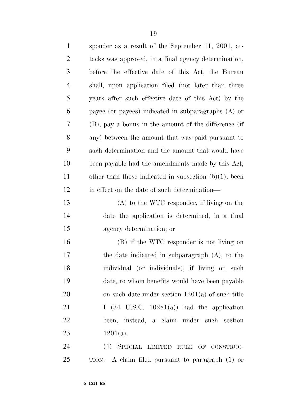| $\mathbf{1}$   | sponder as a result of the September 11, 2001, at-       |
|----------------|----------------------------------------------------------|
| $\overline{2}$ | tacks was approved, in a final agency determination,     |
| 3              | before the effective date of this Act, the Bureau        |
| $\overline{4}$ | shall, upon application filed (not later than three      |
| 5              | years after such effective date of this Act) by the      |
| 6              | payee (or payees) indicated in subparagraphs $(A)$ or    |
| 7              | (B), pay a bonus in the amount of the difference (if     |
| 8              | any) between the amount that was paid pursuant to        |
| 9              | such determination and the amount that would have        |
| 10             | been payable had the amendments made by this Act,        |
| 11             | other than those indicated in subsection $(b)(1)$ , been |
| 12             | in effect on the date of such determination—             |
| 13             | $(A)$ to the WTC responder, if living on the             |
| 14             | date the application is determined, in a final           |
| 15             | agency determination; or                                 |
| 16             | (B) if the WTC responder is not living on                |
| 17             | the date indicated in subparagraph $(A)$ , to the        |
| 18             | individual (or individuals), if living on such           |
| 19             | date, to whom benefits would have been payable           |
| 20             | on such date under section $1201(a)$ of such title       |
| 21             | I $(34 \text{ U.S.C. } 10281(a))$ had the application    |
| 22             | been, instead, a claim under such section                |
| 23             | $1201(a)$ .                                              |
| $\mathcal{L}$  | $(4)$ Coport theory                                      |

 (4) SPECIAL LIMITED RULE OF CONSTRUC-TION.—A claim filed pursuant to paragraph (1) or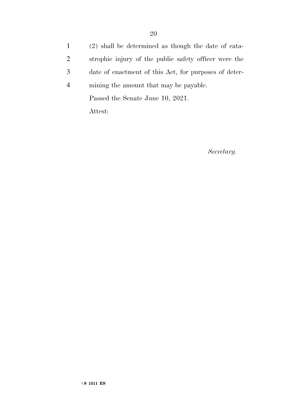(2) shall be determined as though the date of cata- strophic injury of the public safety officer were the date of enactment of this Act, for purposes of deter- mining the amount that may be payable. Passed the Senate June 10, 2021.

Attest:

*Secretary.*